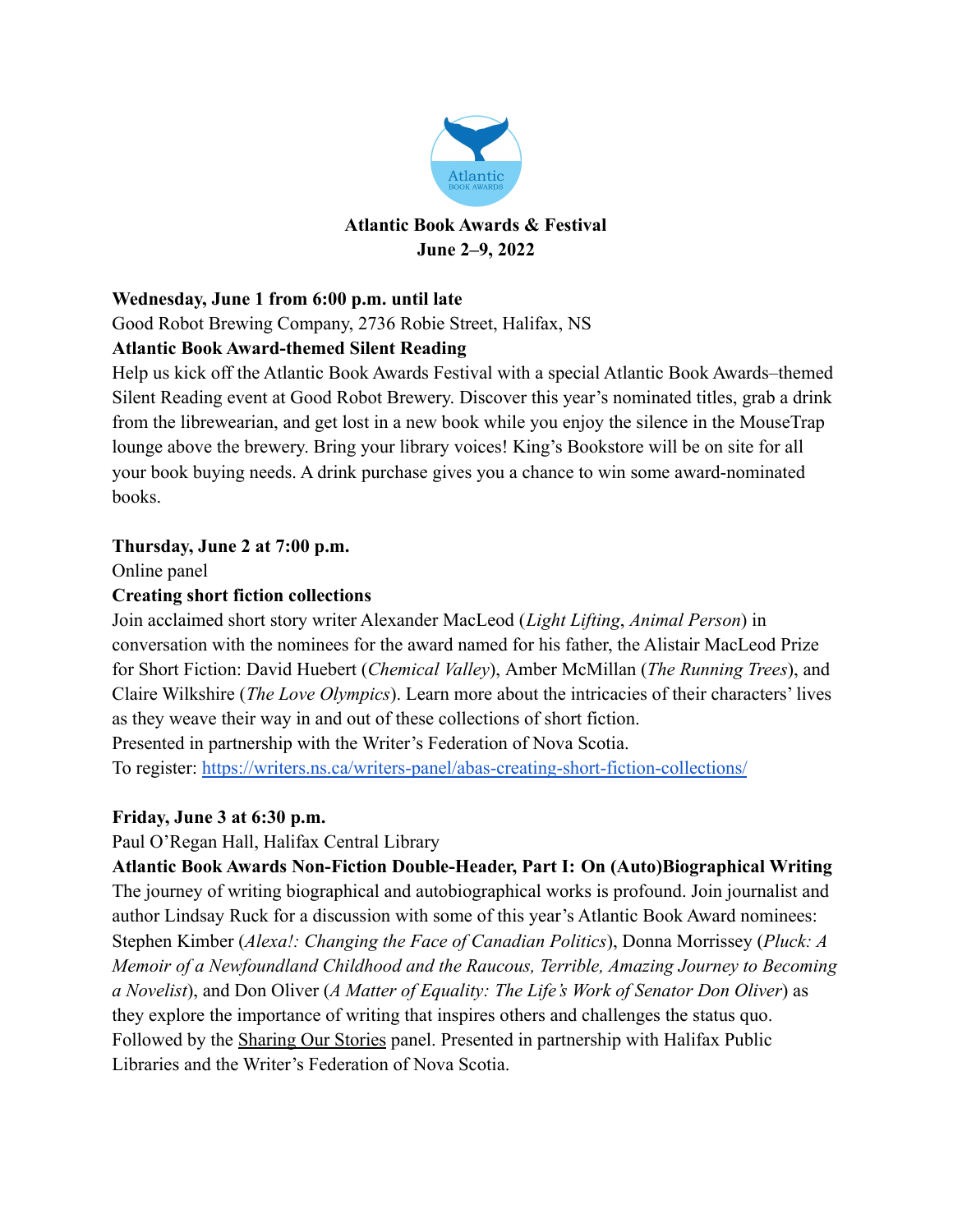

### **Wednesday, June 1 from 6:00 p.m. until late**

Good Robot Brewing Company, 2736 Robie Street, Halifax, NS

# **Atlantic Book Award-themed Silent Reading**

Help us kick off the Atlantic Book Awards Festival with a special Atlantic Book Awards–themed Silent Reading event at Good Robot Brewery. Discover this year's nominated titles, grab a drink from the librewearian, and get lost in a new book while you enjoy the silence in the MouseTrap lounge above the brewery. Bring your library voices! King's Bookstore will be on site for all your book buying needs. A drink purchase gives you a chance to win some award-nominated books.

### **Thursday, June 2 at 7:00 p.m.**

Online panel

### **Creating short fiction collections**

Join acclaimed short story writer Alexander MacLeod (*Light Lifting*, *Animal Person*) in conversation with the nominees for the award named for his father, the Alistair MacLeod Prize for Short Fiction: David Huebert (*Chemical Valley*), Amber McMillan (*The Running Trees*), and Claire Wilkshire (*The Love Olympics*). Learn more about the intricacies of their characters' lives as they weave their way in and out of these collections of short fiction.

Presented in partnership with the Writer's Federation of Nova Scotia.

To register: <https://writers.ns.ca/writers-panel/abas-creating-short-fiction-collections/>

# **Friday, June 3 at 6:30 p.m.**

Paul O'Regan Hall, Halifax Central Library

**Atlantic Book Awards Non-Fiction Double-Header, Part I: On (Auto)Biographical Writing** The journey of writing biographical and autobiographical works is profound. Join journalist and author Lindsay Ruck for a discussion with some of this year's Atlantic Book Award nominees: Stephen Kimber (*Alexa!: Changing the Face of Canadian Politics*), Donna Morrissey (*Pluck: A Memoir of a Newfoundland Childhood and the Raucous, Terrible, Amazing Journey to Becoming a Novelist*), and Don Oliver (*A Matter of Equality: The Life's Work of Senator Don Oliver*) as they explore the importance of writing that inspires others and challenges the status quo. Followed by the Sharing Our Stories panel. Presented in partnership with Halifax Public Libraries and the Writer's Federation of Nova Scotia.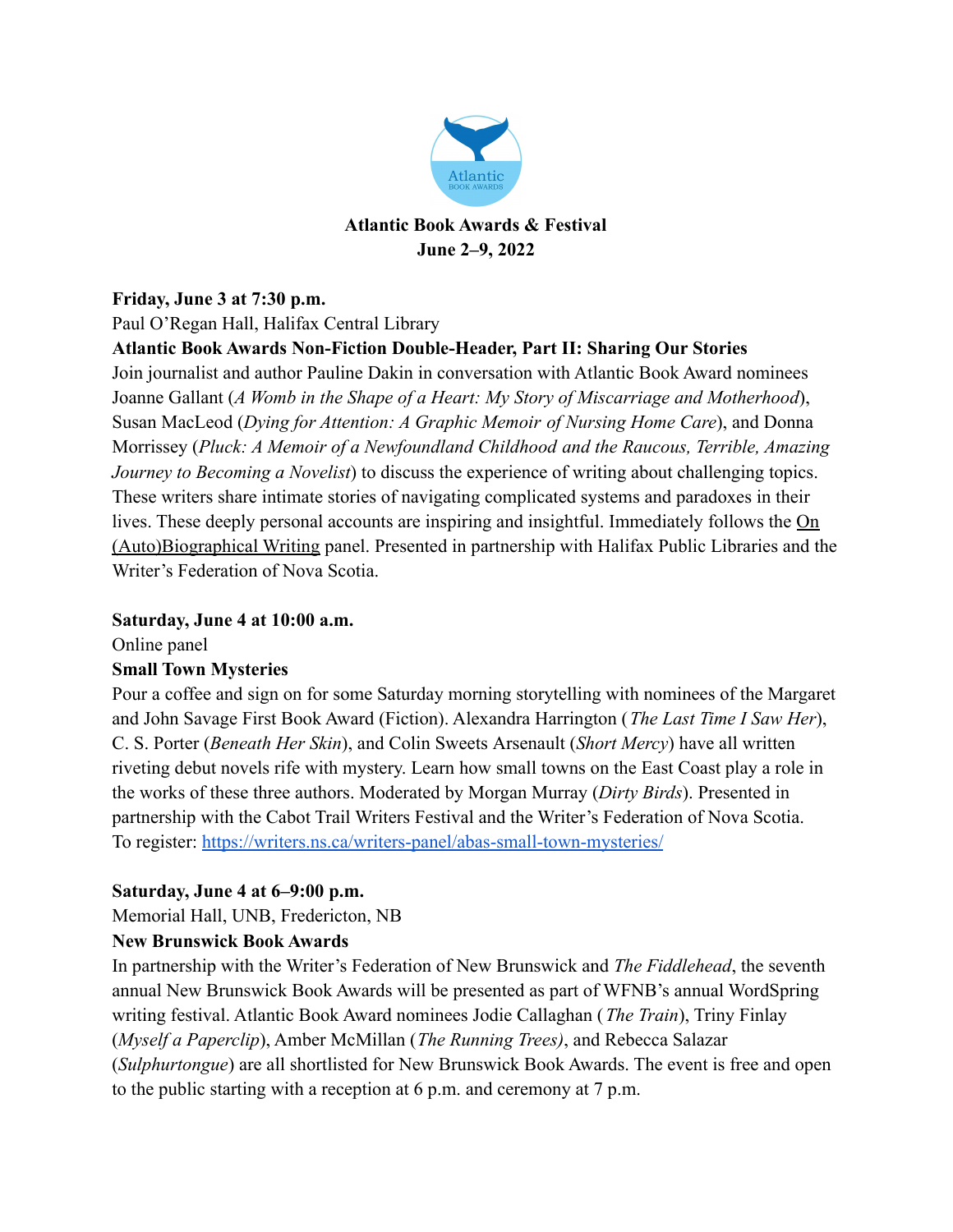

# **Friday, June 3 at 7:30 p.m.** Paul O'Regan Hall, Halifax Central Library

### **Atlantic Book Awards Non-Fiction Double-Header, Part II: Sharing Our Stories**

Join journalist and author Pauline Dakin in conversation with Atlantic Book Award nominees Joanne Gallant (*A Womb in the Shape of a Heart: My Story of Miscarriage and Motherhood*), Susan MacLeod (*Dying for Attention: A Graphic Memoir of Nursing Home Care*), and Donna Morrissey (*Pluck: A Memoir of a Newfoundland Childhood and the Raucous, Terrible, Amazing Journey to Becoming a Novelist*) to discuss the experience of writing about challenging topics. These writers share intimate stories of navigating complicated systems and paradoxes in their lives. These deeply personal accounts are inspiring and insightful. Immediately follows the On (Auto)Biographical Writing panel. Presented in partnership with Halifax Public Libraries and the Writer's Federation of Nova Scotia.

#### **Saturday, June 4 at 10:00 a.m.**

Online panel

### **Small Town Mysteries**

Pour a coffee and sign on for some Saturday morning storytelling with nominees of the Margaret and John Savage First Book Award (Fiction). Alexandra Harrington (*The Last Time I Saw Her*), C. S. Porter (*Beneath Her Skin*), and Colin Sweets Arsenault (*Short Mercy*) have all written riveting debut novels rife with mystery. Learn how small towns on the East Coast play a role in the works of these three authors. Moderated by Morgan Murray (*Dirty Birds*). Presented in partnership with the Cabot Trail Writers Festival and the Writer's Federation of Nova Scotia. To register: <https://writers.ns.ca/writers-panel/abas-small-town-mysteries/>

### **Saturday, June 4 at 6–9:00 p.m.**

Memorial Hall, UNB, Fredericton, NB

### **New Brunswick Book Awards**

In partnership with the Writer's Federation of New Brunswick and *The Fiddlehead*, the seventh annual New Brunswick Book Awards will be presented as part of WFNB's annual WordSpring writing festival. Atlantic Book Award nominees Jodie Callaghan (*The Train*), Triny Finlay (*Myself a Paperclip*), Amber McMillan (*The Running Trees)*, and Rebecca Salazar (*Sulphurtongue*) are all shortlisted for New Brunswick Book Awards. The event is free and open to the public starting with a reception at 6 p.m. and ceremony at 7 p.m.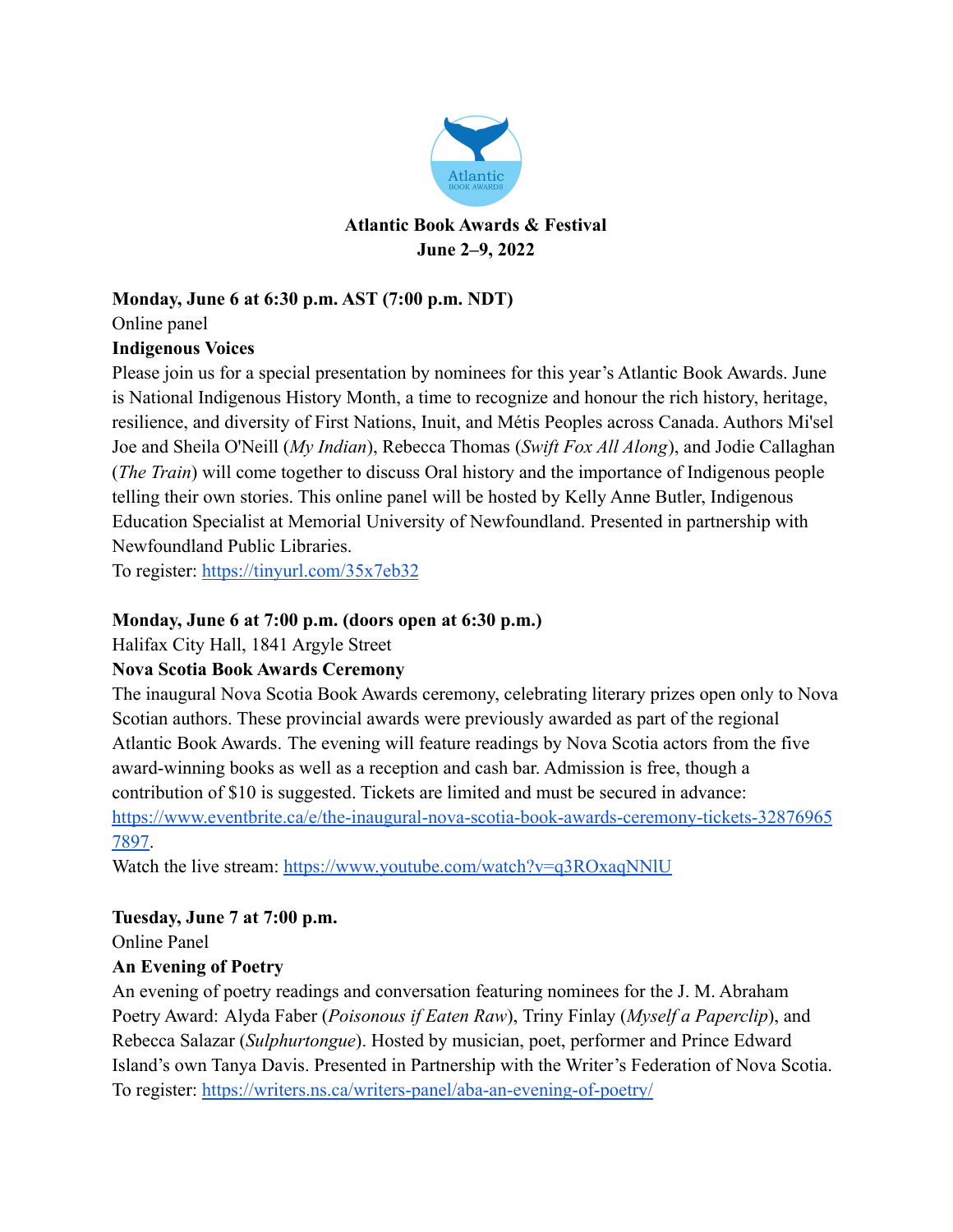

# **Monday, June 6 at 6:30 p.m. AST (7:00 p.m. NDT)**

Online panel

### **Indigenous Voices**

Please join us for a special presentation by nominees for this year's Atlantic Book Awards. June is National Indigenous History Month, a time to recognize and honour the rich history, heritage, resilience, and diversity of First Nations, Inuit, and Métis Peoples across Canada. Authors Mi'sel Joe and Sheila O'Neill (*My Indian*), Rebecca Thomas (*Swift Fox All Along*), and Jodie Callaghan (*The Train*) will come together to discuss Oral history and the importance of Indigenous people telling their own stories. This online panel will be hosted by Kelly Anne Butler, Indigenous Education Specialist at Memorial University of Newfoundland. Presented in partnership with Newfoundland Public Libraries.

To register: <https://tinyurl.com/35x7eb32>

### **Monday, June 6 at 7:00 p.m. (doors open at 6:30 p.m.)**

Halifax City Hall, 1841 Argyle Street

### **Nova Scotia Book Awards Ceremony**

The inaugural Nova Scotia Book Awards ceremony, celebrating literary prizes open only to Nova Scotian authors. These provincial awards were previously awarded as part of the regional Atlantic Book Awards. The evening will feature readings by Nova Scotia actors from the five award-winning books as well as a reception and cash bar. Admission is free, though a contribution of \$10 is suggested. Tickets are limited and must be secured in advance: [https://www.eventbrite.ca/e/the-inaugural-nova-scotia-book-awards-ceremony-tickets-32876965](https://www.eventbrite.ca/e/the-inaugural-nova-scotia-book-awards-ceremony-tickets-328769657897) [7897](https://www.eventbrite.ca/e/the-inaugural-nova-scotia-book-awards-ceremony-tickets-328769657897).

Watch the live stream: <https://www.youtube.com/watch?v=q3ROxaqNNlU>

### **Tuesday, June 7 at 7:00 p.m.**

Online Panel

# **An Evening of Poetry**

An evening of poetry readings and conversation featuring nominees for the J. M. Abraham Poetry Award: Alyda Faber (*Poisonous if Eaten Raw*), Triny Finlay (*Myself a Paperclip*), and Rebecca Salazar (*Sulphurtongue*). Hosted by musician, poet, performer and Prince Edward Island's own Tanya Davis. Presented in Partnership with the Writer's Federation of Nova Scotia. To register: <https://writers.ns.ca/writers-panel/aba-an-evening-of-poetry/>